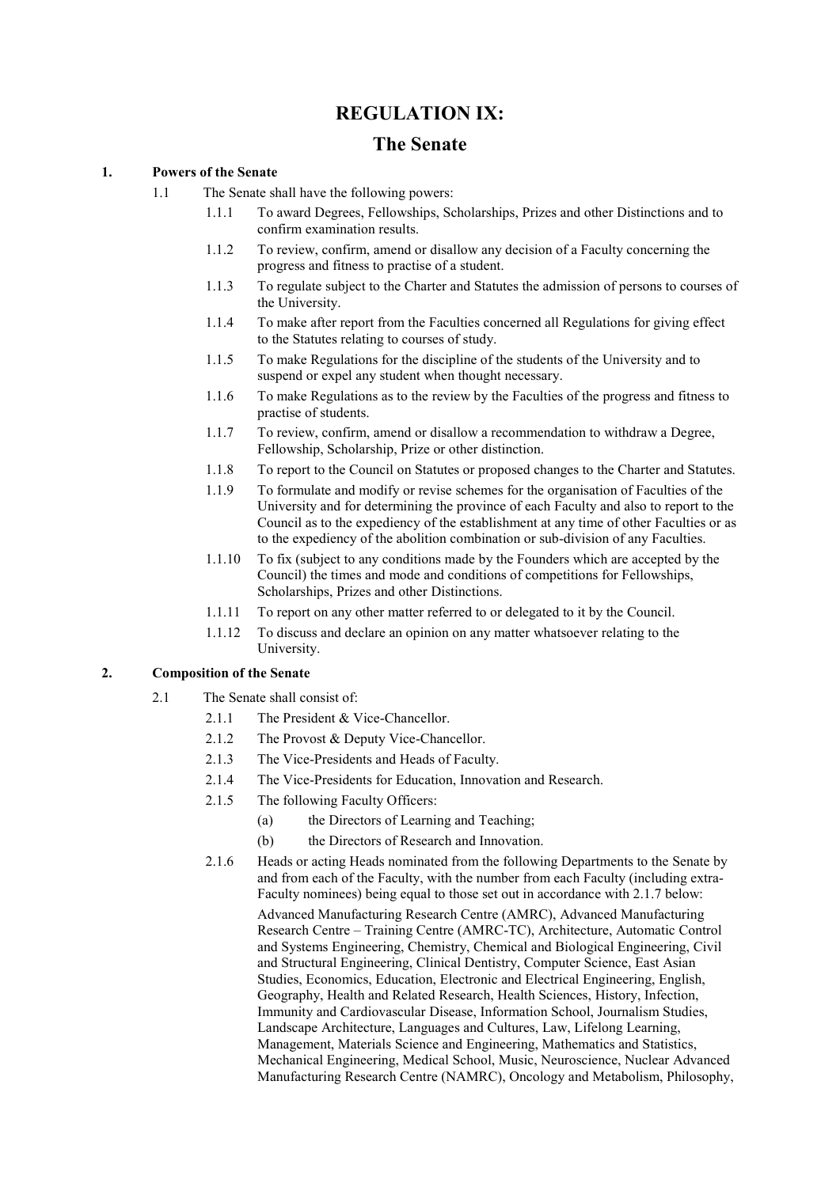# **REGULATION IX:**

## **The Senate**

### **1. Powers of the Senate**

- <span id="page-0-0"></span>1.1 The Senate shall have the following powers:
	- 1.1.1 To award Degrees, Fellowships, Scholarships, Prizes and other Distinctions and to confirm examination results.
	- 1.1.2 To review, confirm, amend or disallow any decision of a Faculty concerning the progress and fitness to practise of a student.
	- 1.1.3 To regulate subject to the Charter and Statutes the admission of persons to courses of the University.
	- 1.1.4 To make after report from the Faculties concerned all Regulations for giving effect to the Statutes relating to courses of study.
	- 1.1.5 To make Regulations for the discipline of the students of the University and to suspend or expel any student when thought necessary.
	- 1.1.6 To make Regulations as to the review by the Faculties of the progress and fitness to practise of students.
	- 1.1.7 To review, confirm, amend or disallow a recommendation to withdraw a Degree, Fellowship, Scholarship, Prize or other distinction.
	- 1.1.8 To report to the Council on Statutes or proposed changes to the Charter and Statutes.
	- 1.1.9 To formulate and modify or revise schemes for the organisation of Faculties of the University and for determining the province of each Faculty and also to report to the Council as to the expediency of the establishment at any time of other Faculties or as to the expediency of the abolition combination or sub-division of any Faculties.
	- 1.1.10 To fix (subject to any conditions made by the Founders which are accepted by the Council) the times and mode and conditions of competitions for Fellowships, Scholarships, Prizes and other Distinctions.
	- 1.1.11 To report on any other matter referred to or delegated to it by the Council.
	- 1.1.12 To discuss and declare an opinion on any matter whatsoever relating to the University.

#### <span id="page-0-1"></span>**2. Composition of the Senate**

- <span id="page-0-3"></span>2.1 The Senate shall consist of:
	- 2.1.1 The President & Vice-Chancellor.
	- 2.1.2 The Provost & Deputy Vice-Chancellor.
	- 2.1.3 The Vice-Presidents and Heads of Faculty.
	- 2.1.4 The Vice-Presidents for Education, Innovation and Research.
	- 2.1.5 The following Faculty Officers:
		- (a) the Directors of Learning and Teaching;
		- (b) the Directors of Research and Innovation.
	- 2.1.6 Heads or acting Heads nominated from the following Departments to the Senate by and from each of the Faculty, with the number from each Faculty (including extra-Faculty nominees) being equal to those set out in accordance with [2.1.7](#page-1-0) below:

<span id="page-0-2"></span>Advanced Manufacturing Research Centre (AMRC), Advanced Manufacturing Research Centre – Training Centre (AMRC-TC), Architecture, Automatic Control and Systems Engineering, Chemistry, Chemical and Biological Engineering, Civil and Structural Engineering, Clinical Dentistry, Computer Science, East Asian Studies, Economics, Education, Electronic and Electrical Engineering, English, Geography, Health and Related Research, Health Sciences, History, Infection, Immunity and Cardiovascular Disease, Information School, Journalism Studies, Landscape Architecture, Languages and Cultures, Law, Lifelong Learning, Management, Materials Science and Engineering, Mathematics and Statistics, Mechanical Engineering, Medical School, Music, Neuroscience, Nuclear Advanced Manufacturing Research Centre (NAMRC), Oncology and Metabolism, Philosophy,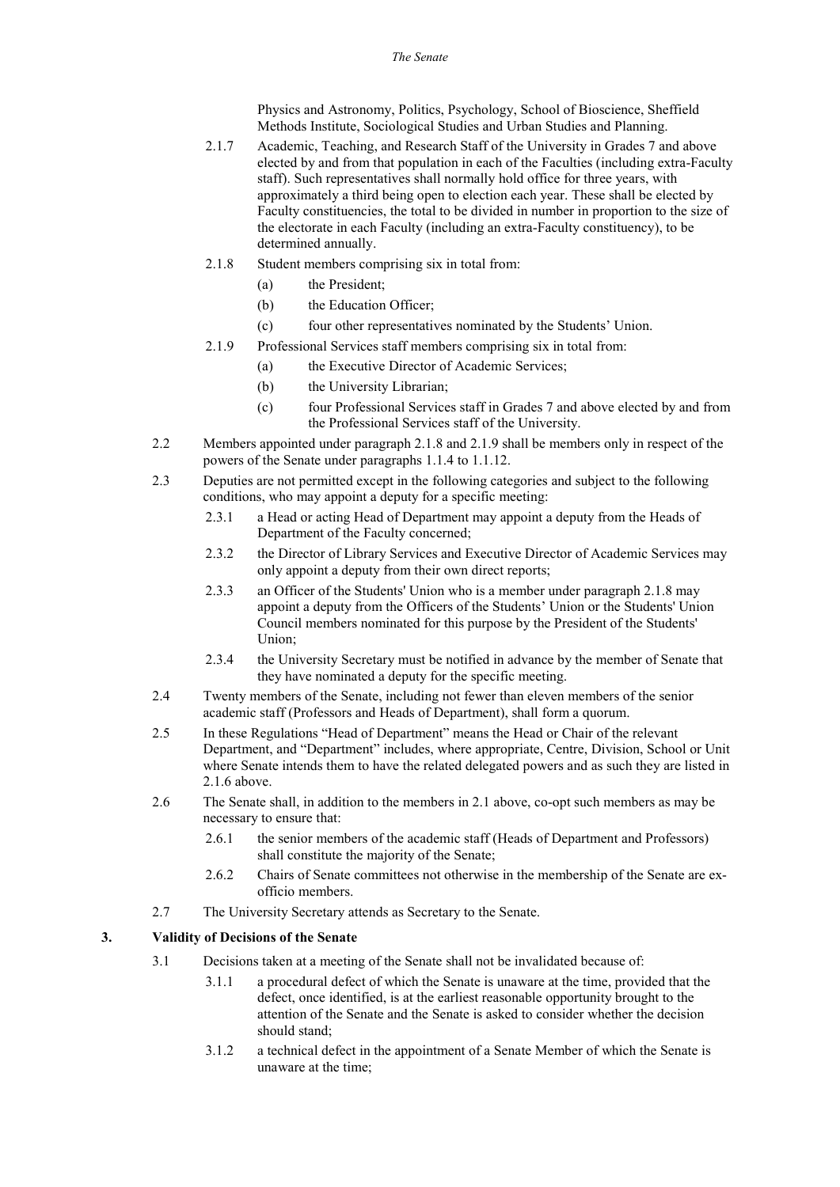Physics and Astronomy, Politics, Psychology, School of Bioscience, Sheffield Methods Institute, Sociological Studies and Urban Studies and Planning.

- <span id="page-1-0"></span>2.1.7 Academic, Teaching, and Research Staff of the University in Grades 7 and above elected by and from that population in each of the Faculties (including extra-Faculty staff). Such representatives shall normally hold office for three years, with approximately a third being open to election each year. These shall be elected by Faculty constituencies, the total to be divided in number in proportion to the size of the electorate in each Faculty (including an extra-Faculty constituency), to be determined annually.
- <span id="page-1-1"></span>2.1.8 Student members comprising six in total from:
	- (a) the President;
	- (b) the Education Officer;
	- (c) four other representatives nominated by the Students' Union.
- <span id="page-1-2"></span>2.1.9 Professional Services staff members comprising six in total from:
	- (a) the Executive Director of Academic Services;
		- (b) the University Librarian;
		- (c) four Professional Services staff in Grades 7 and above elected by and from the Professional Services staff of the University.
- 2.2 Members appointed under paragraph [2.1.8](#page-1-1) and [2.1.9](#page-1-2) shall be members only in respect of the powers of the Senate under paragraph[s 1.1.4](#page-0-0) t[o 1.1.12.](#page-0-1)
- 2.3 Deputies are not permitted except in the following categories and subject to the following conditions, who may appoint a deputy for a specific meeting:
	- 2.3.1 a Head or acting Head of Department may appoint a deputy from the Heads of Department of the Faculty concerned;
	- 2.3.2 the Director of Library Services and Executive Director of Academic Services may only appoint a deputy from their own direct reports;
	- 2.3.3 an Officer of the Students' Union who is a member under paragrap[h 2.1.8](#page-1-1) may appoint a deputy from the Officers of the Students' Union or the Students' Union Council members nominated for this purpose by the President of the Students' Union;
	- 2.3.4 the University Secretary must be notified in advance by the member of Senate that they have nominated a deputy for the specific meeting.
- 2.4 Twenty members of the Senate, including not fewer than eleven members of the senior academic staff (Professors and Heads of Department), shall form a quorum.
- 2.5 In these Regulations "Head of Department" means the Head or Chair of the relevant Department, and "Department" includes, where appropriate, Centre, Division, School or Unit where Senate intends them to have the related delegated powers and as such they are listed in [2.1.6](#page-0-2) above.
- 2.6 The Senate shall, in addition to the members in [2.1](#page-0-3) above, co-opt such members as may be necessary to ensure that:
	- 2.6.1 the senior members of the academic staff (Heads of Department and Professors) shall constitute the majority of the Senate;
	- 2.6.2 Chairs of Senate committees not otherwise in the membership of the Senate are exofficio members.
- 2.7 The University Secretary attends as Secretary to the Senate.

#### **3. Validity of Decisions of the Senate**

- 3.1 Decisions taken at a meeting of the Senate shall not be invalidated because of:
	- 3.1.1 a procedural defect of which the Senate is unaware at the time, provided that the defect, once identified, is at the earliest reasonable opportunity brought to the attention of the Senate and the Senate is asked to consider whether the decision should stand;
	- 3.1.2 a technical defect in the appointment of a Senate Member of which the Senate is unaware at the time;